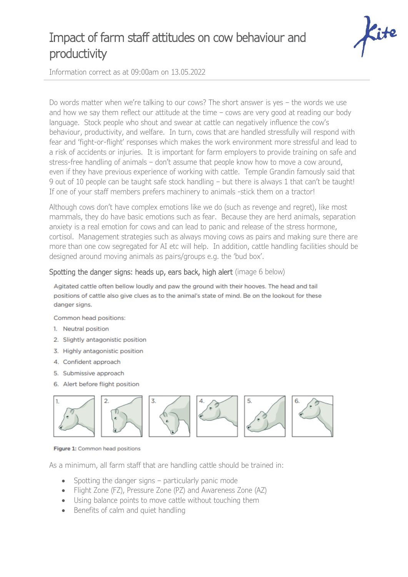## Impact of farm staff attitudes on cow behaviour and productivity



Information correct as at 09:00am on 13.05.2022

Do words matter when we're talking to our cows? The short answer is yes – the words we use and how we say them reflect our attitude at the time – cows are very good at reading our body language. Stock people who shout and swear at cattle can negatively influence the cow's behaviour, productivity, and welfare. In turn, cows that are handled stressfully will respond with fear and 'fight-or-flight' responses which makes the work environment more stressful and lead to a risk of accidents or injuries. It is important for farm employers to provide training on safe and stress-free handling of animals – don't assume that people know how to move a cow around, even if they have previous experience of working with cattle. Temple Grandin famously said that 9 out of 10 people can be taught safe stock handling – but there is always 1 that can't be taught! If one of your staff members prefers machinery to animals -stick them on a tractor!

Although cows don't have complex emotions like we do (such as revenge and regret), like most mammals, they do have basic emotions such as fear. Because they are herd animals, separation anxiety is a real emotion for cows and can lead to panic and release of the stress hormone, cortisol. Management strategies such as always moving cows as pairs and making sure there are more than one cow segregated for AI etc will help. In addition, cattle handling facilities should be designed around moving animals as pairs/groups e.g. the 'bud box'.

## Spotting the danger signs: heads up, ears back, high alert (image 6 below)

Agitated cattle often bellow loudly and paw the ground with their hooves. The head and tail positions of cattle also give clues as to the animal's state of mind. Be on the lookout for these danger signs.

Common head positions:

- 1. Neutral position
- 2. Slightly antagonistic position
- 3. Highly antagonistic position
- 4. Confident approach
- 5. Submissive approach
- 6. Alert before flight position



Figure 1: Common head positions

As a minimum, all farm staff that are handling cattle should be trained in:

- Spotting the danger signs particularly panic mode
- Flight Zone (FZ), Pressure Zone (PZ) and Awareness Zone (AZ)
- Using balance points to move cattle without touching them
- Benefits of calm and quiet handling